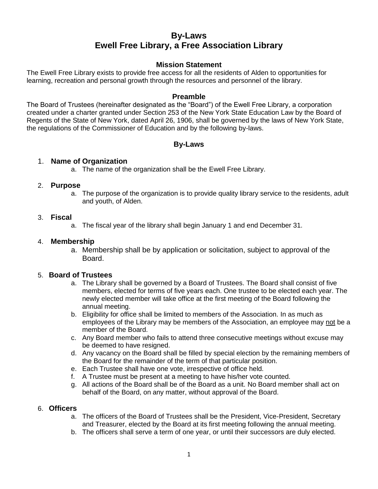# **By-Laws Ewell Free Library, a Free Association Library**

### **Mission Statement**

The Ewell Free Library exists to provide free access for all the residents of Alden to opportunities for learning, recreation and personal growth through the resources and personnel of the library.

### **Preamble**

The Board of Trustees (hereinafter designated as the "Board") of the Ewell Free Library, a corporation created under a charter granted under Section 253 of the New York State Education Law by the Board of Regents of the State of New York, dated April 26, 1906, shall be governed by the laws of New York State, the regulations of the Commissioner of Education and by the following by-laws.

# **By-Laws**

### 1. **Name of Organization**

a. The name of the organization shall be the Ewell Free Library.

#### 2. **Purpose**

a. The purpose of the organization is to provide quality library service to the residents, adult and youth, of Alden.

#### 3. **Fiscal**

a. The fiscal year of the library shall begin January 1 and end December 31.

### 4. **Membership**

a. Membership shall be by application or solicitation, subject to approval of the Board.

### 5. **Board of Trustees**

- a. The Library shall be governed by a Board of Trustees. The Board shall consist of five members, elected for terms of five years each. One trustee to be elected each year. The newly elected member will take office at the first meeting of the Board following the annual meeting.
- b. Eligibility for office shall be limited to members of the Association. In as much as employees of the Library may be members of the Association, an employee may not be a member of the Board.
- c. Any Board member who fails to attend three consecutive meetings without excuse may be deemed to have resigned.
- d. Any vacancy on the Board shall be filled by special election by the remaining members of the Board for the remainder of the term of that particular position.
- e. Each Trustee shall have one vote, irrespective of office held.
- f. A Trustee must be present at a meeting to have his/her vote counted.
- g. All actions of the Board shall be of the Board as a unit. No Board member shall act on behalf of the Board, on any matter, without approval of the Board.

#### 6. **Officers**

- a. The officers of the Board of Trustees shall be the President, Vice-President, Secretary and Treasurer, elected by the Board at its first meeting following the annual meeting.
- b. The officers shall serve a term of one year, or until their successors are duly elected.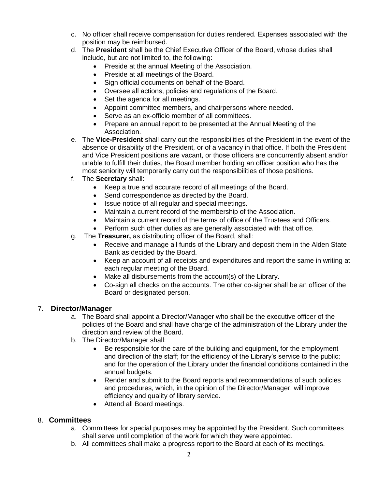- c. No officer shall receive compensation for duties rendered. Expenses associated with the position may be reimbursed.
- d. The **President** shall be the Chief Executive Officer of the Board, whose duties shall include, but are not limited to, the following:
	- Preside at the annual Meeting of the Association.
	- Preside at all meetings of the Board.
	- Sign official documents on behalf of the Board.
	- Oversee all actions, policies and regulations of the Board.
	- Set the agenda for all meetings.
	- Appoint committee members, and chairpersons where needed.
	- Serve as an ex-officio member of all committees.
	- Prepare an annual report to be presented at the Annual Meeting of the Association.
- e. The **Vice-President** shall carry out the responsibilities of the President in the event of the absence or disability of the President, or of a vacancy in that office. If both the President and Vice President positions are vacant, or those officers are concurrently absent and/or unable to fulfill their duties, the Board member holding an officer position who has the most seniority will temporarily carry out the responsibilities of those positions.
- f. The **Secretary** shall:
	- Keep a true and accurate record of all meetings of the Board.
	- Send correspondence as directed by the Board.
	- Issue notice of all regular and special meetings.
	- Maintain a current record of the membership of the Association.
	- Maintain a current record of the terms of office of the Trustees and Officers.
	- Perform such other duties as are generally associated with that office.
- g. The **Treasurer,** as distributing officer of the Board, shall:
	- Receive and manage all funds of the Library and deposit them in the Alden State Bank as decided by the Board.
	- Keep an account of all receipts and expenditures and report the same in writing at each regular meeting of the Board.
	- Make all disbursements from the account(s) of the Library.
	- Co-sign all checks on the accounts. The other co-signer shall be an officer of the Board or designated person.

### 7. **Director/Manager**

- a. The Board shall appoint a Director/Manager who shall be the executive officer of the policies of the Board and shall have charge of the administration of the Library under the direction and review of the Board.
- b. The Director/Manager shall:
	- Be responsible for the care of the building and equipment, for the employment and direction of the staff; for the efficiency of the Library's service to the public; and for the operation of the Library under the financial conditions contained in the annual budgets.
	- Render and submit to the Board reports and recommendations of such policies and procedures, which, in the opinion of the Director/Manager, will improve efficiency and quality of library service.
	- Attend all Board meetings.

## 8. **Committees**

- a. Committees for special purposes may be appointed by the President. Such committees shall serve until completion of the work for which they were appointed.
- b. All committees shall make a progress report to the Board at each of its meetings.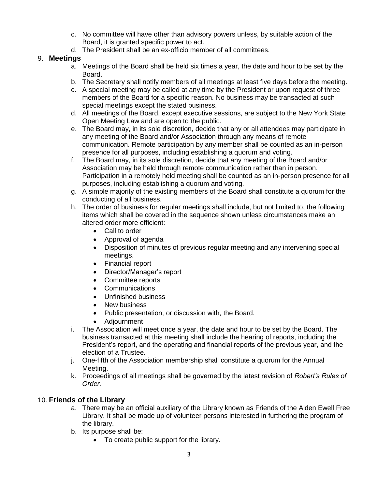- c. No committee will have other than advisory powers unless, by suitable action of the Board, it is granted specific power to act.
- d. The President shall be an ex-officio member of all committees.

# 9. **Meetings**

- a. Meetings of the Board shall be held six times a year, the date and hour to be set by the Board.
- b. The Secretary shall notify members of all meetings at least five days before the meeting.
- c. A special meeting may be called at any time by the President or upon request of three members of the Board for a specific reason. No business may be transacted at such special meetings except the stated business.
- d. All meetings of the Board, except executive sessions, are subject to the New York State Open Meeting Law and are open to the public.
- e. The Board may, in its sole discretion, decide that any or all attendees may participate in any meeting of the Board and/or Association through any means of remote communication. Remote participation by any member shall be counted as an in-person presence for all purposes, including establishing a quorum and voting.
- f. The Board may, in its sole discretion, decide that any meeting of the Board and/or Association may be held through remote communication rather than in person. Participation in a remotely held meeting shall be counted as an in-person presence for all purposes, including establishing a quorum and voting.
- g. A simple majority of the existing members of the Board shall constitute a quorum for the conducting of all business.
- h. The order of business for regular meetings shall include, but not limited to, the following items which shall be covered in the sequence shown unless circumstances make an altered order more efficient:
	- Call to order
	- Approval of agenda
	- Disposition of minutes of previous regular meeting and any intervening special meetings.
	- Financial report
	- Director/Manager's report
	- Committee reports
	- **Communications**
	- Unfinished business
	- New business
	- Public presentation, or discussion with, the Board.
	- Adiournment
- i. The Association will meet once a year, the date and hour to be set by the Board. The business transacted at this meeting shall include the hearing of reports, including the President's report, and the operating and financial reports of the previous year, and the election of a Trustee.
- j. One-fifth of the Association membership shall constitute a quorum for the Annual Meeting.
- k. Proceedings of all meetings shall be governed by the latest revision of *Robert's Rules of Order.*

# 10. **Friends of the Library**

- a. There may be an official auxiliary of the Library known as Friends of the Alden Ewell Free Library. It shall be made up of volunteer persons interested in furthering the program of the library.
- b. Its purpose shall be:
	- To create public support for the library.